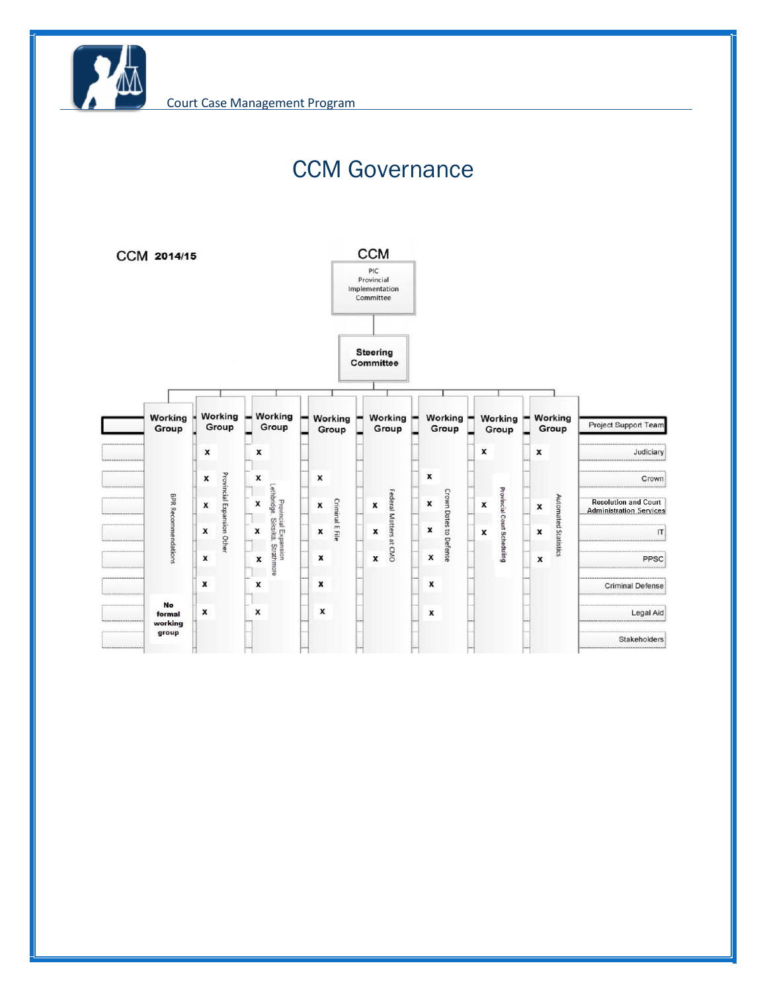

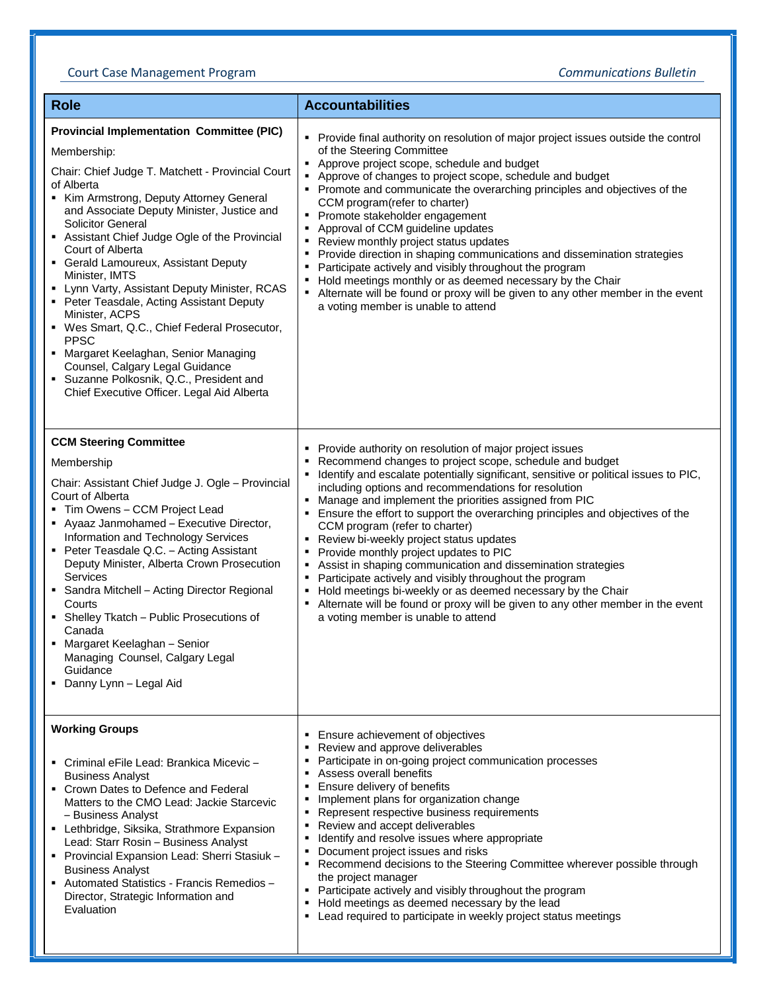## Court Case Management Program *Communications Bulletin*

| <b>Role</b>                                                                                                                                                                                                                                                                                                                                                                                                                                                                                                                                                                                                                                                                                                                               | <b>Accountabilities</b>                                                                                                                                                                                                                                                                                                                                                                                                                                                                                                                                                                                                                                                                                                                                                                                                                                               |
|-------------------------------------------------------------------------------------------------------------------------------------------------------------------------------------------------------------------------------------------------------------------------------------------------------------------------------------------------------------------------------------------------------------------------------------------------------------------------------------------------------------------------------------------------------------------------------------------------------------------------------------------------------------------------------------------------------------------------------------------|-----------------------------------------------------------------------------------------------------------------------------------------------------------------------------------------------------------------------------------------------------------------------------------------------------------------------------------------------------------------------------------------------------------------------------------------------------------------------------------------------------------------------------------------------------------------------------------------------------------------------------------------------------------------------------------------------------------------------------------------------------------------------------------------------------------------------------------------------------------------------|
| <b>Provincial Implementation Committee (PIC)</b><br>Membership:<br>Chair: Chief Judge T. Matchett - Provincial Court<br>of Alberta<br>Kim Armstrong, Deputy Attorney General<br>and Associate Deputy Minister, Justice and<br><b>Solicitor General</b><br>Assistant Chief Judge Ogle of the Provincial<br>Court of Alberta<br>• Gerald Lamoureux, Assistant Deputy<br>Minister, IMTS<br>• Lynn Varty, Assistant Deputy Minister, RCAS<br>• Peter Teasdale, Acting Assistant Deputy<br>Minister, ACPS<br>" Wes Smart, Q.C., Chief Federal Prosecutor,<br><b>PPSC</b><br>• Margaret Keelaghan, Senior Managing<br>Counsel, Calgary Legal Guidance<br>• Suzanne Polkosnik, Q.C., President and<br>Chief Executive Officer. Legal Aid Alberta | Provide final authority on resolution of major project issues outside the control<br>of the Steering Committee<br>• Approve project scope, schedule and budget<br>Approve of changes to project scope, schedule and budget<br>٠<br>• Promote and communicate the overarching principles and objectives of the<br>CCM program(refer to charter)<br>Promote stakeholder engagement<br>٠<br>Approval of CCM guideline updates<br>Review monthly project status updates<br>Provide direction in shaping communications and dissemination strategies<br>Participate actively and visibly throughout the program<br>Hold meetings monthly or as deemed necessary by the Chair<br>Alternate will be found or proxy will be given to any other member in the event<br>a voting member is unable to attend                                                                     |
| <b>CCM Steering Committee</b><br>Membership<br>Chair: Assistant Chief Judge J. Ogle - Provincial<br>Court of Alberta<br>Tim Owens - CCM Project Lead<br>• Ayaaz Janmohamed - Executive Director,<br>Information and Technology Services<br>• Peter Teasdale Q.C. - Acting Assistant<br>Deputy Minister, Alberta Crown Prosecution<br>Services<br>• Sandra Mitchell – Acting Director Regional<br>Courts<br>• Shelley Tkatch - Public Prosecutions of<br>Canada<br>• Margaret Keelaghan - Senior<br>Managing Counsel, Calgary Legal<br>Guidance<br>• Danny Lynn - Legal Aid                                                                                                                                                                | • Provide authority on resolution of major project issues<br>Recommend changes to project scope, schedule and budget<br>Identify and escalate potentially significant, sensitive or political issues to PIC,<br>including options and recommendations for resolution<br>• Manage and implement the priorities assigned from PIC<br>Ensure the effort to support the overarching principles and objectives of the<br>CCM program (refer to charter)<br>Review bi-weekly project status updates<br>Provide monthly project updates to PIC<br>٠<br>Assist in shaping communication and dissemination strategies<br>Participate actively and visibly throughout the program<br>Hold meetings bi-weekly or as deemed necessary by the Chair<br>Alternate will be found or proxy will be given to any other member in the event<br>٠<br>a voting member is unable to attend |
| <b>Working Groups</b><br>■ Criminal eFile Lead: Brankica Micevic –<br><b>Business Analyst</b><br>• Crown Dates to Defence and Federal<br>Matters to the CMO Lead: Jackie Starcevic<br>- Business Analyst<br>• Lethbridge, Siksika, Strathmore Expansion<br>Lead: Starr Rosin - Business Analyst<br>- Provincial Expansion Lead: Sherri Stasiuk -<br><b>Business Analyst</b><br>- Automated Statistics - Francis Remedios -<br>Director, Strategic Information and<br>Evaluation                                                                                                                                                                                                                                                           | Ensure achievement of objectives<br>Review and approve deliverables<br>Participate in on-going project communication processes<br>Assess overall benefits<br>Ensure delivery of benefits<br>٠<br>Implement plans for organization change<br>٠<br>Represent respective business requirements<br>Review and accept deliverables<br>٠<br>Identify and resolve issues where appropriate<br>Document project issues and risks<br>Recommend decisions to the Steering Committee wherever possible through<br>٠<br>the project manager<br>• Participate actively and visibly throughout the program<br>Hold meetings as deemed necessary by the lead<br>Lead required to participate in weekly project status meetings<br>٠                                                                                                                                                  |